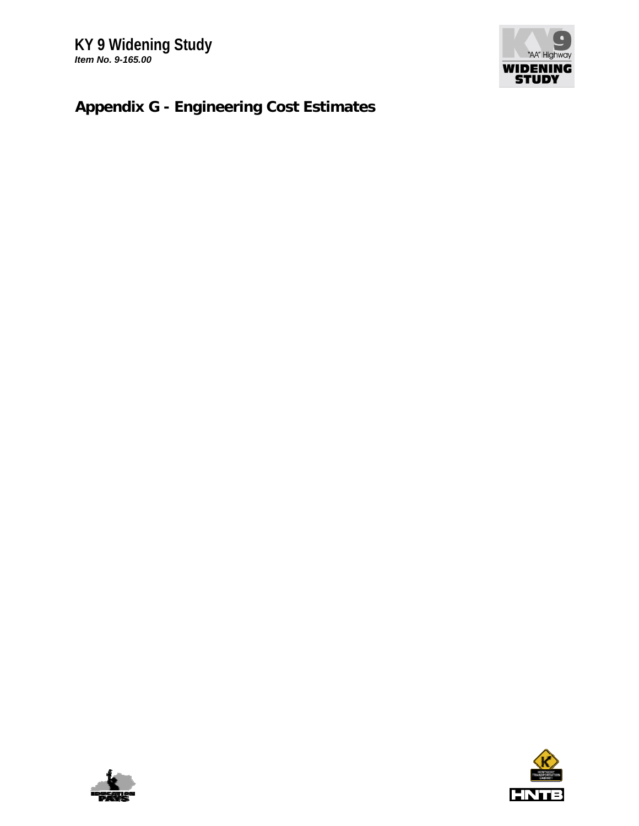

# **Appendix G - Engineering Cost Estimates**



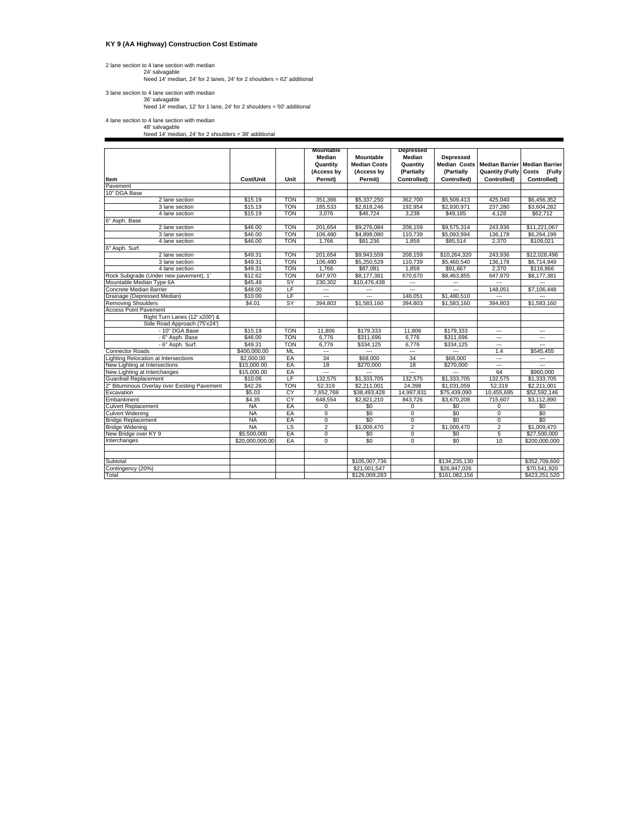### **KY 9 (AA Highway) Construction Cost Estimate**

# 2 lane section to 4 lane section with median<br>24' salvagable<br>Need 14' median, 24' for 2 lanes, 24' for 2 shoulders = 62' additional

3 lane section to 4 lane section with median 36' salvagable Need 14' median, 12' for 1 lane, 24' for 2 shoulders = 50' additional

4 lane section to 4 lane section with median 48' salvagable Need 14' median, 24' for 2 shoulders = 38' additional

|                                              |                 |            | Mountable                        |                                                | Depressed                        |                         |                                                                      |                          |
|----------------------------------------------|-----------------|------------|----------------------------------|------------------------------------------------|----------------------------------|-------------------------|----------------------------------------------------------------------|--------------------------|
|                                              |                 |            | Median<br>Quantity<br>(Access by | Mountable<br><b>Median Costs</b><br>(Access by | Median<br>Quantity<br>(Partially | Depressed<br>(Partially | Median Costs Median Barrier Median Barrier<br><b>Quantity (Fully</b> | Costs (Fully             |
| Item                                         | Cost/Unit       | Unit       | Permit)                          | Permit)                                        | Controlled)                      | Controlled)             | Controlled)                                                          | Controlled)              |
| Pavement                                     |                 |            |                                  |                                                |                                  |                         |                                                                      |                          |
| 10" DGA Base<br>2 lane section               | \$15.19         | <b>TON</b> | 351,366                          | \$5,337,250                                    | 362,700                          | \$5,509,413             | 425,040                                                              | \$6,456,352              |
| 3 lane section                               | \$15.19         | <b>TON</b> | 185.533                          | \$2,818,246                                    | 192.954                          | \$2,930,971             | 237.280                                                              | \$3,604.282              |
| 4 lane section                               | \$15.19         | TON        | 3,076                            | \$46,724                                       | 3,238                            | \$49,185                | 4,128                                                                | \$62,712                 |
| 6" Asph. Base                                |                 |            |                                  |                                                |                                  |                         |                                                                      |                          |
| 2 lane section                               | \$46.00         | <b>TON</b> | 201.654                          | \$9,276,084                                    | 208.159                          | \$9,575,314             | 243.936                                                              | \$11,221,067             |
| 3 lane section                               | \$46.00         | <b>TON</b> | 106.480                          | \$4,898,080                                    | 110.739                          | \$5.093.994             | 136.178                                                              | \$6,264,199              |
| 4 lane section                               | \$46.00         | <b>TON</b> | 1.766                            | \$81.236                                       | 1,859                            | \$85,514                | 2,370                                                                | \$109,021                |
| 6" Asph. Surf.                               |                 |            |                                  |                                                |                                  |                         |                                                                      |                          |
| 2 lane section                               | \$49.31         | TON        | 201,654                          | \$9,943,559                                    | 208,159                          | \$10,264,320            | 243,936                                                              | \$12,028,496             |
| 3 lane section                               | \$49.31         | <b>TON</b> | 106,480                          | \$5,250,529                                    | 110.739                          | \$5,460,540             | 136,178                                                              | \$6,714,949              |
| 4 lane section                               | \$49.31         | <b>TON</b> | 1,766                            | \$87,081                                       | 1,859                            | \$91,667                | 2,370                                                                | \$116,866                |
| Rock Subgrade (Under new pavement), 1'       | \$12.62         | <b>TON</b> | 647,970                          | \$8,177,381                                    | 670,670                          | \$8,463,855             | 647,970                                                              | \$8,177,381              |
| Mountable Median Type 6A                     | \$45.49         | <b>SY</b>  | 230,302                          | \$10,476,438                                   |                                  |                         | ---                                                                  | ---                      |
| Concrete Median Barrier                      | \$48.00         | ΤF         | $\overline{a}$                   | ---                                            | Ξ.                               | ---                     | 148,051                                                              | \$7,106,448              |
| Drainage (Depressed Median)                  | \$10.00         | LF         |                                  | $\overline{a}$                                 | 148,051                          | \$1,480,510             |                                                                      |                          |
| <b>Removing Shoulders</b>                    | \$4.01          | <b>SY</b>  | 394,803                          | \$1,583,160                                    | 394,803                          | \$1,583,160             | 394,803                                                              | \$1,583,160              |
| <b>Access Point Pavement</b>                 |                 |            |                                  |                                                |                                  |                         |                                                                      |                          |
| Right Turn Lanes (12' x200') &               |                 |            |                                  |                                                |                                  |                         |                                                                      |                          |
| Side Road Approach (75'x24')                 |                 |            |                                  |                                                |                                  |                         |                                                                      |                          |
| - 10" DGA Base                               | \$15.19         | <b>TON</b> | 11,806                           | \$179,333                                      | 11,806                           | \$179,333               | ---                                                                  | ---                      |
| - 6" Asph. Base                              | \$46.00         | <b>TON</b> | 6,776                            | \$311,696                                      | 6,776                            | \$311,696               | ---                                                                  | $\overline{\phantom{a}}$ |
| - 6" Asph. Surf.                             | \$49.31         | <b>TON</b> | 6,776                            | \$334.125                                      | 6,776                            | \$334,125               | ---                                                                  |                          |
| <b>Connector Roads</b>                       | \$400,000.00    | ML         | $\overline{a}$                   |                                                | $\overline{a}$                   | ---                     | 1.4                                                                  | \$545,455                |
| <b>Lighting Relocation at Intersections</b>  | \$2,000.00      | EA         | 34                               | \$68,000                                       | 34                               | \$68,000                | $\overline{a}$                                                       | ---                      |
| New Lighting at Intersections                | \$15,000.00     | EA         | 18                               | \$270,000                                      | 18                               | \$270,000               | ---                                                                  | ---                      |
| New Lighting at Interchanges                 | \$15,000,00     | EA         | $\overline{a}$                   |                                                | $\overline{a}$                   |                         | 64                                                                   | \$960,000                |
| Guardrail Replacement                        | \$10.06         | LF         | 132,575                          | \$1,333,705                                    | 132,575                          | \$1,333,705             | 132,575                                                              | \$1,333,705              |
| 2" Bituminous Overlay over Existing Pavement | \$42.26         | <b>TON</b> | 52,319                           | \$2,211,001                                    | 24,398                           | \$1,031,059             | 52,319                                                               | \$2,211,001              |
| Excavation                                   | \$5.03          | CY         | 7,652,769                        | \$38,493,428                                   | 14,997,831                       | \$75,439,090            | 10,455,695                                                           | \$52,592,146             |
| Embankment                                   | \$4.35          | <b>CY</b>  | 648,554                          | \$2,821,210                                    | 843,726                          | \$3,670,208             | 715,607                                                              | \$3,112,890              |
| <b>Culvert Replacement</b>                   | <b>NA</b>       | EA         | $\overline{0}$                   | \$0                                            | 0                                | \$0                     | 0                                                                    | \$0                      |
| <b>Culvert Widening</b>                      | <b>NA</b>       | EA         | 0                                | \$0                                            | 0                                | \$0                     | 0                                                                    | \$0                      |
| <b>Bridge Replacement</b>                    | <b>NA</b>       | EA         | $\overline{0}$                   | \$0                                            | 0                                | \$0                     | $\overline{0}$                                                       | \$0                      |
| <b>Bridge Widening</b>                       | <b>NA</b>       | LS         | 2                                | \$1,009,470                                    | $\overline{2}$                   | \$1,009,470             | $\overline{2}$                                                       | \$1,009,470              |
| New Bridge over KY 9                         | \$5,500,000     | EA         | $\overline{0}$                   | \$0                                            | $\overline{0}$                   | \$0                     | 5                                                                    | \$27,500,000             |
| Interchanges                                 | \$20,000,000.00 | EA         | 0                                | \$0                                            | $\overline{0}$                   | \$0                     | 10                                                                   | \$200,000,000            |
|                                              |                 |            |                                  |                                                |                                  |                         |                                                                      |                          |
|                                              |                 |            |                                  |                                                |                                  |                         |                                                                      |                          |
| Subtotal                                     |                 |            |                                  | \$105,007,736                                  |                                  | \$134,235,130           |                                                                      | \$352,709,600            |
| Contingency (20%)                            |                 |            |                                  | \$21.001.547                                   |                                  | \$26.847.026            |                                                                      | \$70,541.920             |
| Total                                        |                 |            |                                  | \$126,009,283                                  |                                  | \$161,082,156           |                                                                      | \$423,251,520            |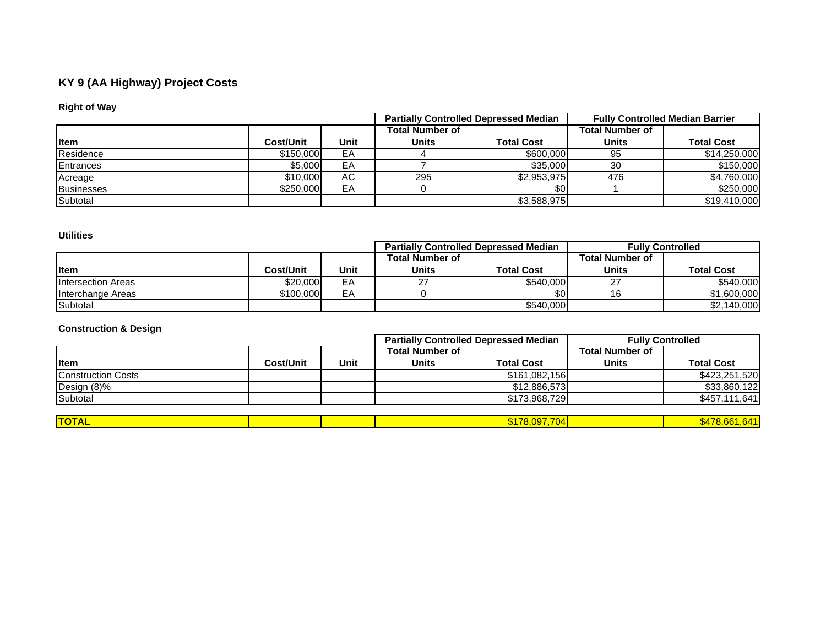# **KY 9 (AA Highway) Project Costs**

# **Right of Way**

|                   |           |      |                        | <b>Partially Controlled Depressed Median</b> | <b>Fully Controlled Median Barrier</b> |                   |  |
|-------------------|-----------|------|------------------------|----------------------------------------------|----------------------------------------|-------------------|--|
|                   |           |      | <b>Total Number of</b> |                                              | Total Number of                        |                   |  |
| <b>I</b> tem      | Cost/Unit | Unit | Units                  | <b>Total Cost</b>                            | <b>Units</b>                           | <b>Total Cost</b> |  |
| Residence         | \$150,000 | EА   |                        | \$600,000                                    | 95                                     | \$14,250,000      |  |
| Entrances         | \$5,000   | EA   |                        | \$35,000                                     | 30                                     | \$150,000         |  |
| Acreage           | \$10,000  | АC   | 295                    | \$2,953,975                                  | 476                                    | \$4,760,000       |  |
| <b>Businesses</b> | \$250,000 | EA   |                        | \$0                                          |                                        | \$250,000         |  |
| <b>Subtotal</b>   |           |      |                        | \$3,588,975                                  |                                        | \$19,410,000      |  |

## **Utilities**

|                           |           |      |                 | <b>Partially Controlled Depressed Median</b> | <b>Fully Controlled</b> |                   |  |
|---------------------------|-----------|------|-----------------|----------------------------------------------|-------------------------|-------------------|--|
|                           |           |      | Total Number of |                                              | <b>Total Number of</b>  |                   |  |
| <b>I</b> tem              | Cost/Unit | Unit | <b>Units</b>    | <b>Total Cost</b>                            | Units                   | <b>Total Cost</b> |  |
| <b>Intersection Areas</b> | \$20,000  | EА   |                 | \$540,000                                    | ົ                       | \$540,000         |  |
| <b>Interchange Areas</b>  | \$100,000 | EA   |                 | <b>\$01</b>                                  | 16                      | \$1,600,000       |  |
| Subtotal                  |           |      |                 | \$540,000                                    |                         | \$2,140,000       |  |

# **Construction & Design**

|                           |                  |      |                        | <b>Partially Controlled Depressed Median</b> | <b>Fully Controlled</b> |                   |  |
|---------------------------|------------------|------|------------------------|----------------------------------------------|-------------------------|-------------------|--|
|                           |                  |      | <b>Total Number of</b> |                                              | <b>Total Number of</b>  |                   |  |
| <b>I</b> tem              | <b>Cost/Unit</b> | Unit | <b>Units</b>           | <b>Total Cost</b>                            | <b>Units</b>            | <b>Total Cost</b> |  |
| <b>Construction Costs</b> |                  |      |                        | \$161,082,156                                |                         | \$423,251,520     |  |
| Design (8)%               |                  |      |                        | \$12,886,573                                 |                         | \$33,860,122      |  |
| Subtotal                  |                  |      |                        | \$173,968,729                                |                         | \$457,111,641     |  |
|                           |                  |      |                        |                                              |                         |                   |  |
| <b>TOTAL</b>              |                  |      |                        | \$178,097,704                                |                         | \$478,661,641     |  |